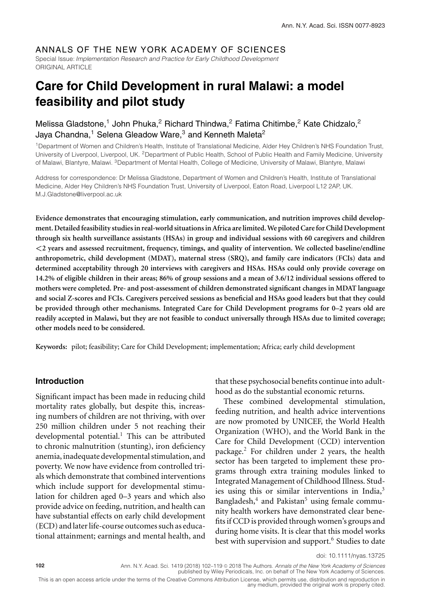### ANNALS OF THE NEW YORK ACADEMY OF SCIENCES

Special Issue: *Implementation Research and Practice for Early Childhood Development* ORIGINAL ARTICLE

# **Care for Child Development in rural Malawi: a model feasibility and pilot study**

## Melissa Gladstone,<sup>1</sup> John Phuka,<sup>2</sup> Richard Thindwa,<sup>2</sup> Fatima Chitimbe,<sup>2</sup> Kate Chidzalo,<sup>2</sup> Jaya Chandna,<sup>1</sup> Selena Gleadow Ware,<sup>3</sup> and Kenneth Maleta<sup>2</sup>

1Department of Women and Children's Health, Institute of Translational Medicine, Alder Hey Children's NHS Foundation Trust, University of Liverpool, Liverpool, UK. 2Department of Public Health, School of Public Health and Family Medicine, University of Malawi, Blantyre, Malawi. 3Department of Mental Health, College of Medicine, University of Malawi, Blantyre, Malawi

Address for correspondence: Dr Melissa Gladstone, Department of Women and Children's Health, Institute of Translational Medicine, Alder Hey Children's NHS Foundation Trust, University of Liverpool, Eaton Road, Liverpool L12 2AP, UK. M.J.Gladstone@liverpool.ac.uk

**Evidence demonstrates that encouraging stimulation, early communication, and nutrition improves child development. Detailed feasibility studies in real-world situations in Africa are limited.We piloted Care for Child Development through six health surveillance assistants (HSAs) in group and individual sessions with 60 caregivers and children** *<***2 years and assessed recruitment, frequency, timings, and quality of intervention. We collected baseline/endline anthropometric, child development (MDAT), maternal stress (SRQ), and family care indicators (FCIs) data and determined acceptability through 20 interviews with caregivers and HSAs. HSAs could only provide coverage on 14.2% of eligible children in their areas; 86% of group sessions and a mean of 3.6/12 individual sessions offered to mothers were completed. Pre- and post-assessment of children demonstrated significant changes in MDAT language and social Z-scores and FCIs. Caregivers perceived sessions as beneficial and HSAs good leaders but that they could be provided through other mechanisms. Integrated Care for Child Development programs for 0–2 years old are readily accepted in Malawi, but they are not feasible to conduct universally through HSAs due to limited coverage; other models need to be considered.**

**Keywords:** pilot; feasibility; Care for Child Development; implementation; Africa; early child development

#### **Introduction**

Significant impact has been made in reducing child mortality rates globally, but despite this, increasing numbers of children are not thriving, with over 250 million children under 5 not reaching their developmental potential. $<sup>1</sup>$  This can be attributed</sup> to chronic malnutrition (stunting), iron deficiency anemia, inadequate developmental stimulation, and poverty. We now have evidence from controlled trials which demonstrate that combined interventions which include support for developmental stimulation for children aged 0–3 years and which also provide advice on feeding, nutrition, and health can have substantial effects on early child development (ECD) and later life-course outcomes such as educational attainment; earnings and mental health, and that these psychosocial benefits continue into adulthood as do the substantial economic returns.

These combined developmental stimulation, feeding nutrition, and health advice interventions are now promoted by UNICEF, the World Health Organization (WHO), and the World Bank in the Care for Child Development (CCD) intervention package.<sup>2</sup> For children under 2 years, the health sector has been targeted to implement these programs through extra training modules linked to Integrated Management of Childhood Illness. Studies using this or similar interventions in India, $3$ Bangladesh, $4$  and Pakistan<sup>5</sup> using female community health workers have demonstrated clear benefits if CCD is provided through women's groups and during home visits. It is clear that this model works best with supervision and support.<sup>6</sup> Studies to date

doi: 10.1111/nyas.13725

This is an open access article under the terms of the [Creative Commons Attribution](http://creativecommons.org/licenses/by/4.0/) License, which permits use, distribution and reproduction in any medium, provided the original work is properly cited.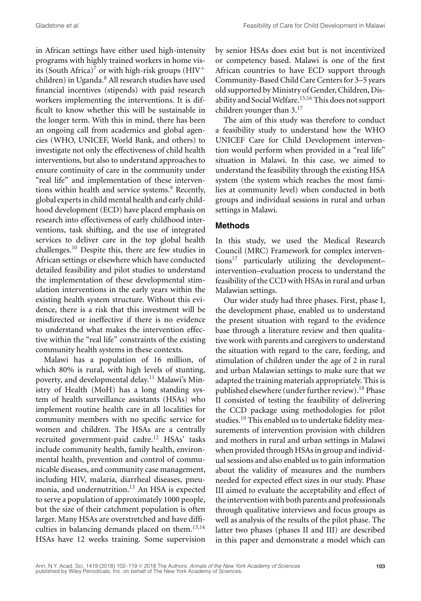in African settings have either used high-intensity programs with highly trained workers in home visits (South Africa)<sup>7</sup> or with high-risk groups (HIV<sup>+</sup> children) in Uganda.<sup>8</sup> All research studies have used financial incentives (stipends) with paid research workers implementing the interventions. It is difficult to know whether this will be sustainable in the longer term. With this in mind, there has been an ongoing call from academics and global agencies (WHO, UNICEF, World Bank, and others) to investigate not only the effectiveness of child health interventions, but also to understand approaches to ensure continuity of care in the community under "real life" and implementation of these interventions within health and service systems.<sup>9</sup> Recently, global experts in child mental health and early childhood development (ECD) have placed emphasis on research into effectiveness of early childhood interventions, task shifting, and the use of integrated services to deliver care in the top global health challenges.10 Despite this, there are few studies in African settings or elsewhere which have conducted detailed feasibility and pilot studies to understand the implementation of these developmental stimulation interventions in the early years within the existing health system structure. Without this evidence, there is a risk that this investment will be misdirected or ineffective if there is no evidence to understand what makes the intervention effective within the "real life" constraints of the existing community health systems in these contexts.

Malawi has a population of 16 million, of which 80% is rural, with high levels of stunting, poverty, and developmental delay.<sup>11</sup> Malawi's Ministry of Health (MoH) has a long standing system of health surveillance assistants (HSAs) who implement routine health care in all localities for community members with no specific service for women and children. The HSAs are a centrally recruited government-paid cadre.<sup>12</sup> HSAs' tasks include community health, family health, environmental health, prevention and control of communicable diseases, and community case management, including HIV, malaria, diarrheal diseases, pneumonia, and undernutrition.<sup>13</sup> An HSA is expected to serve a population of approximately 1000 people, but the size of their catchment population is often larger. Many HSAs are overstretched and have difficulties in balancing demands placed on them.<sup>13,14</sup> HSAs have 12 weeks training. Some supervision by senior HSAs does exist but is not incentivized or competency based. Malawi is one of the first African countries to have ECD support through Community-Based Child Care Centers for 3–5 years old supported by Ministry of Gender, Children, Disability and Social Welfare.<sup>15,16</sup> This does not support children younger than 3.<sup>17</sup>

The aim of this study was therefore to conduct a feasibility study to understand how the WHO UNICEF Care for Child Development intervention would perform when provided in a "real life" situation in Malawi. In this case, we aimed to understand the feasibility through the existing HSA system (the system which reaches the most families at community level) when conducted in both groups and individual sessions in rural and urban settings in Malawi.

### **Methods**

In this study, we used the Medical Research Council (MRC) Framework for complex interventions $17$  particularly utilizing the developmentintervention–evaluation process to understand the feasibility of the CCD with HSAs in rural and urban Malawian settings.

Our wider study had three phases. First, phase I, the development phase, enabled us to understand the present situation with regard to the evidence base through a literature review and then qualitative work with parents and caregivers to understand the situation with regard to the care, feeding, and stimulation of children under the age of 2 in rural and urban Malawian settings to make sure that we adapted the training materials appropriately. This is published elsewhere (under further review).<sup>18</sup> Phase II consisted of testing the feasibility of delivering the CCD package using methodologies for pilot studies.<sup>19</sup> This enabled us to undertake fidelity measurements of intervention provision with children and mothers in rural and urban settings in Malawi when provided through HSAs in group and individual sessions and also enabled us to gain information about the validity of measures and the numbers needed for expected effect sizes in our study. Phase III aimed to evaluate the acceptability and effect of the intervention with both parents and professionals through qualitative interviews and focus groups as well as analysis of the results of the pilot phase. The latter two phases (phases II and III) are described in this paper and demonstrate a model which can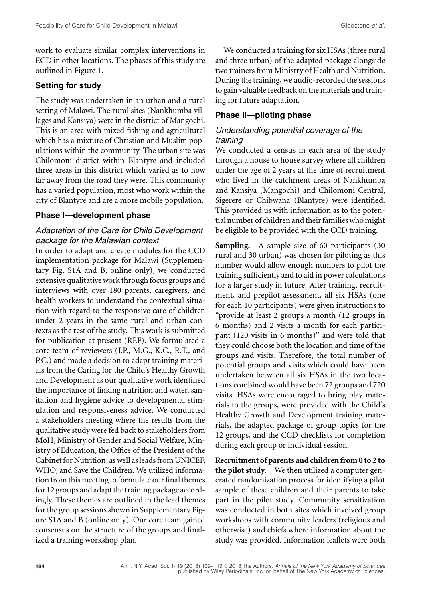work to evaluate similar complex interventions in ECD in other locations. The phases of this study are outlined in Figure 1.

### **Setting for study**

The study was undertaken in an urban and a rural setting of Malawi. The rural sites (Nankhumba villages and Kansiya) were in the district of Mangochi. This is an area with mixed fishing and agricultural which has a mixture of Christian and Muslim populations within the community. The urban site was Chilomoni district within Blantyre and included three areas in this district which varied as to how far away from the road they were. This community has a varied population, most who work within the city of Blantyre and are a more mobile population.

### **Phase I—development phase**

### *Adaptation of the Care for Child Development package for the Malawian context*

In order to adapt and create modules for the CCD implementation package for Malawi (Supplementary Fig. S1A and B, online only), we conducted extensive qualitative work through focus groups and interviews with over 180 parents, caregivers, and health workers to understand the contextual situation with regard to the responsive care of children under 2 years in the same rural and urban contexts as the rest of the study. This work is submitted for publication at present (REF). We formulated a core team of reviewers (J.P., M.G., K.C., R.T., and P.C.) and made a decision to adapt training materials from the Caring for the Child's Healthy Growth and Development as our qualitative work identified the importance of linking nutrition and water, sanitation and hygiene advice to developmental stimulation and responsiveness advice. We conducted a stakeholders meeting where the results from the qualitative study were fed back to stakeholders from MoH, Ministry of Gender and Social Welfare, Ministry of Education, the Office of the President of the Cabinet for Nutrition, as well as leads from UNICEF, WHO, and Save the Children. We utilized information from this meeting to formulate our final themes for 12 groups and adapt the training package accordingly. These themes are outlined in the lead themes for the group sessions shown in Supplementary Figure S1A and B (online only). Our core team gained consensus on the structure of the groups and finalized a training workshop plan.

We conducted a training for six HSAs (three rural and three urban) of the adapted package alongside two trainers from Ministry of Health and Nutrition. During the training, we audio-recorded the sessions to gain valuable feedback on the materials and training for future adaptation.

### **Phase II—piloting phase**

### *Understanding potential coverage of the training*

We conducted a census in each area of the study through a house to house survey where all children under the age of 2 years at the time of recruitment who lived in the catchment areas of Nankhumba and Kansiya (Mangochi) and Chilomoni Central, Sigerere or Chibwana (Blantyre) were identified. This provided us with information as to the potential number of children and their families who might be eligible to be provided with the CCD training.

**Sampling.** A sample size of 60 participants (30 rural and 30 urban) was chosen for piloting as this number would allow enough numbers to pilot the training sufficiently and to aid in power calculations for a larger study in future. After training, recruitment, and prepilot assessment, all six HSAs (one for each 10 participants) were given instructions to "provide at least 2 groups a month (12 groups in 6 months) and 2 visits a month for each participant (120 visits in 6 months)" and were told that they could choose both the location and time of the groups and visits. Therefore, the total number of potential groups and visits which could have been undertaken between all six HSAs in the two locations combined would have been 72 groups and 720 visits. HSAs were encouraged to bring play materials to the groups, were provided with the Child's Healthy Growth and Development training materials, the adapted package of group topics for the 12 groups, and the CCD checklists for completion during each group or individual session.

**Recruitment of parents and children from 0 to 2 to the pilot study.** We then utilized a computer generated randomization process for identifying a pilot sample of these children and their parents to take part in the pilot study. Community sensitization was conducted in both sites which involved group workshops with community leaders (religious and otherwise) and chiefs where information about the study was provided. Information leaflets were both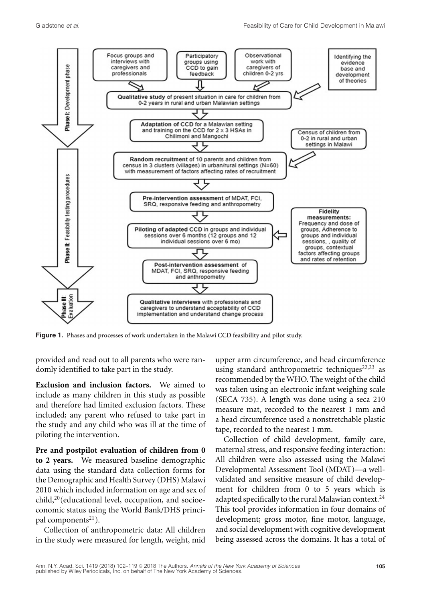

**Figure 1. Phases and processes of work undertaken in the Malawi CCD feasibility and pilot study.**

provided and read out to all parents who were randomly identified to take part in the study.

**Exclusion and inclusion factors.** We aimed to include as many children in this study as possible and therefore had limited exclusion factors. These included; any parent who refused to take part in the study and any child who was ill at the time of piloting the intervention.

**Pre and postpilot evaluation of children from 0 to 2 years.** We measured baseline demographic data using the standard data collection forms for the Demographic and Health Survey (DHS) Malawi 2010 which included information on age and sex of  $child<sub>1</sub><sup>20</sup>$  (educational level, occupation, and socioeconomic status using the World Bank/DHS principal components<sup>21</sup>).

Collection of anthropometric data: All children in the study were measured for length, weight, mid

upper arm circumference, and head circumference using standard anthropometric techniques<sup>22,23</sup> as recommended by the WHO. The weight of the child was taken using an electronic infant weighing scale (SECA 735). A length was done using a seca 210 measure mat, recorded to the nearest 1 mm and a head circumference used a nonstretchable plastic tape, recorded to the nearest 1 mm.

Collection of child development, family care, maternal stress, and responsive feeding interaction: All children were also assessed using the Malawi Developmental Assessment Tool (MDAT)—a wellvalidated and sensitive measure of child development for children from 0 to 5 years which is adapted specifically to the rural Malawian context.<sup>24</sup> This tool provides information in four domains of development; gross motor, fine motor, language, and social development with cognitive development being assessed across the domains. It has a total of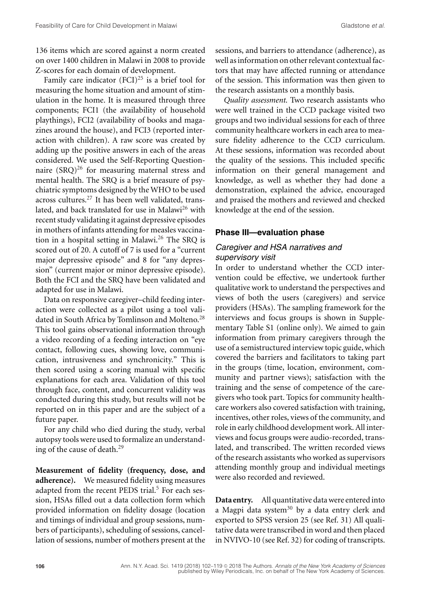136 items which are scored against a norm created on over 1400 children in Malawi in 2008 to provide Z-scores for each domain of development.

Family care indicator  $(FCI)^{25}$  is a brief tool for measuring the home situation and amount of stimulation in the home. It is measured through three components; FCI1 (the availability of household playthings), FCI2 (availability of books and magazines around the house), and FCI3 (reported interaction with children). A raw score was created by adding up the positive answers in each of the areas considered. We used the Self-Reporting Questionnaire  $(SRQ)^{26}$  for measuring maternal stress and mental health. The SRQ is a brief measure of psychiatric symptoms designed by the WHO to be used across cultures.<sup>27</sup> It has been well validated, translated, and back translated for use in Malawi<sup>26</sup> with recent study validating it against depressive episodes in mothers of infants attending for measles vaccination in a hospital setting in Malawi.<sup>26</sup> The SRQ is scored out of 20. A cutoff of 7 is used for a "current major depressive episode" and 8 for "any depression" (current major or minor depressive episode). Both the FCI and the SRQ have been validated and adapted for use in Malawi.

Data on responsive caregiver–child feeding interaction were collected as a pilot using a tool validated in South Africa by Tomlinson and Molteno.<sup>28</sup> This tool gains observational information through a video recording of a feeding interaction on "eye contact, following cues, showing love, communication, intrusiveness and synchronicity." This is then scored using a scoring manual with specific explanations for each area. Validation of this tool through face, content, and concurrent validity was conducted during this study, but results will not be reported on in this paper and are the subject of a future paper.

For any child who died during the study, verbal autopsy tools were used to formalize an understanding of the cause of death.<sup>29</sup>

**Measurement of fidelity (frequency, dose, and adherence).** We measured fidelity using measures adapted from the recent PEDS trial.<sup>5</sup> For each session, HSAs filled out a data collection form which provided information on fidelity dosage (location and timings of individual and group sessions, numbers of participants), scheduling of sessions, cancellation of sessions, number of mothers present at the sessions, and barriers to attendance (adherence), as well as information on other relevant contextual factors that may have affected running or attendance of the session. This information was then given to the research assistants on a monthly basis.

*Quality assessment*. Two research assistants who were well trained in the CCD package visited two groups and two individual sessions for each of three community healthcare workers in each area to measure fidelity adherence to the CCD curriculum. At these sessions, information was recorded about the quality of the sessions. This included specific information on their general management and knowledge, as well as whether they had done a demonstration, explained the advice, encouraged and praised the mothers and reviewed and checked knowledge at the end of the session.

#### **Phase III—evaluation phase**

### *Caregiver and HSA narratives and supervisory visit*

In order to understand whether the CCD intervention could be effective, we undertook further qualitative work to understand the perspectives and views of both the users (caregivers) and service providers (HSAs). The sampling framework for the interviews and focus groups is shown in Supplementary Table S1 (online only). We aimed to gain information from primary caregivers through the use of a semistructured interview topic guide, which covered the barriers and facilitators to taking part in the groups (time, location, environment, community and partner views); satisfaction with the training and the sense of competence of the caregivers who took part. Topics for community healthcare workers also covered satisfaction with training, incentives, other roles, views of the community, and role in early childhood development work. All interviews and focus groups were audio-recorded, translated, and transcribed. The written recorded views of the research assistants who worked as supervisors attending monthly group and individual meetings were also recorded and reviewed.

**Data entry.** All quantitative data were entered into a Magpi data system<sup>30</sup> by a data entry clerk and exported to SPSS version 25 (see Ref. 31) All qualitative data were transcribed in word and then placed in NVIVO-10 (see Ref. 32) for coding of transcripts.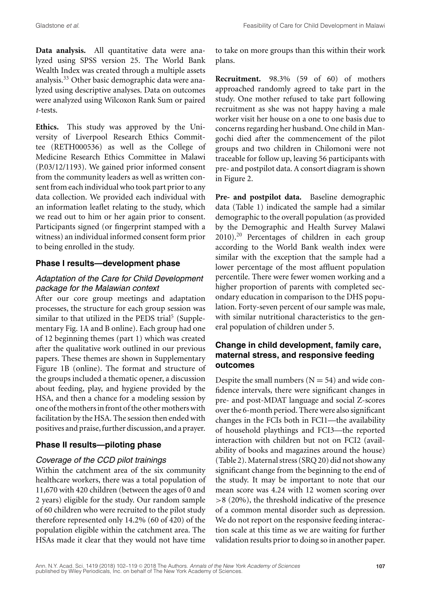**Data analysis.** All quantitative data were analyzed using SPSS version 25. The World Bank Wealth Index was created through a multiple assets analysis.<sup>33</sup> Other basic demographic data were analyzed using descriptive analyses. Data on outcomes were analyzed using Wilcoxon Rank Sum or paired *t*-tests.

**Ethics.** This study was approved by the University of Liverpool Research Ethics Committee (RETH000536) as well as the College of Medicine Research Ethics Committee in Malawi (P.03/12/1193). We gained prior informed consent from the community leaders as well as written consent from each individual who took part prior to any data collection. We provided each individual with an information leaflet relating to the study, which we read out to him or her again prior to consent. Participants signed (or fingerprint stamped with a witness) an individual informed consent form prior to being enrolled in the study.

### **Phase I results—development phase**

### *Adaptation of the Care for Child Development package for the Malawian context*

After our core group meetings and adaptation processes, the structure for each group session was similar to that utilized in the PEDS trial<sup>5</sup> (Supplementary Fig. 1A and B online). Each group had one of 12 beginning themes (part 1) which was created after the qualitative work outlined in our previous papers. These themes are shown in Supplementary Figure 1B (online). The format and structure of the groups included a thematic opener, a discussion about feeding, play, and hygiene provided by the HSA, and then a chance for a modeling session by one of the mothers in front of the other mothers with facilitation by the HSA. The session then ended with positives and praise, further discussion, and a prayer.

## **Phase II results—piloting phase**

### *Coverage of the CCD pilot trainings*

Within the catchment area of the six community healthcare workers, there was a total population of 11,670 with 420 children (between the ages of 0 and 2 years) eligible for the study. Our random sample of 60 children who were recruited to the pilot study therefore represented only 14.2% (60 of 420) of the population eligible within the catchment area. The HSAs made it clear that they would not have time

to take on more groups than this within their work plans.

Recruitment. 98.3% (59 of 60) of mothers approached randomly agreed to take part in the study. One mother refused to take part following recruitment as she was not happy having a male worker visit her house on a one to one basis due to concerns regarding her husband. One child in Mangochi died after the commencement of the pilot groups and two children in Chilomoni were not traceable for follow up, leaving 56 participants with pre- and postpilot data. A consort diagram is shown in Figure 2.

**Pre- and postpilot data.** Baseline demographic data (Table 1) indicated the sample had a similar demographic to the overall population (as provided by the Demographic and Health Survey Malawi  $2010$ ).<sup>20</sup> Percentages of children in each group according to the World Bank wealth index were similar with the exception that the sample had a lower percentage of the most affluent population percentile. There were fewer women working and a higher proportion of parents with completed secondary education in comparison to the DHS population. Forty-seven percent of our sample was male, with similar nutritional characteristics to the general population of children under 5.

### **Change in child development, family care, maternal stress, and responsive feeding outcomes**

Despite the small numbers  $(N = 54)$  and wide confidence intervals, there were significant changes in pre- and post-MDAT language and social Z-scores over the 6-month period. There were also significant changes in the FCIs both in FCI1—the availability of household playthings and FCI3—the reported interaction with children but not on FCI2 (availability of books and magazines around the house) (Table 2).Maternal stress (SRQ 20) did not show any significant change from the beginning to the end of the study. It may be important to note that our mean score was 4.24 with 12 women scoring over *>*8 (20%), the threshold indicative of the presence of a common mental disorder such as depression. We do not report on the responsive feeding interaction scale at this time as we are waiting for further validation results prior to doing so in another paper.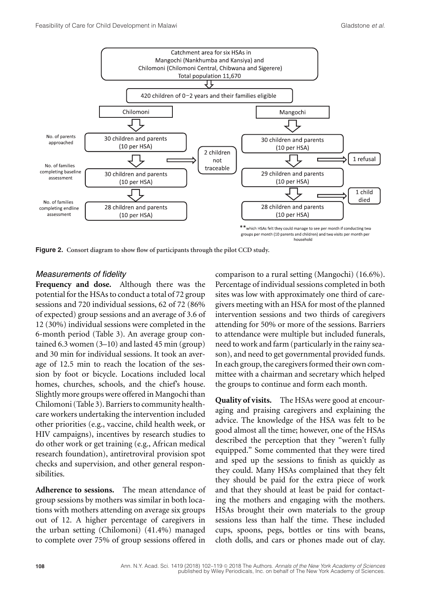

**Figure 2. Consort diagram to show flow of participants through the pilot CCD study.**

#### *Measurements of fidelity*

**Frequency and dose.** Although there was the potential for the HSAs to conduct a total of 72 group sessions and 720 individual sessions, 62 of 72 (86% of expected) group sessions and an average of 3.6 of 12 (30%) individual sessions were completed in the 6-month period (Table 3). An average group contained 6.3 women (3–10) and lasted 45 min (group) and 30 min for individual sessions. It took an average of 12.5 min to reach the location of the session by foot or bicycle. Locations included local homes, churches, schools, and the chief's house. Slightly more groups were offered in Mangochi than Chilomoni (Table 3). Barriers to community healthcare workers undertaking the intervention included other priorities (e.g., vaccine, child health week, or HIV campaigns), incentives by research studies to do other work or get training (e.g., African medical research foundation), antiretroviral provision spot checks and supervision, and other general responsibilities.

**Adherence to sessions.** The mean attendance of group sessions by mothers was similar in both locations with mothers attending on average six groups out of 12. A higher percentage of caregivers in the urban setting (Chilomoni) (41.4%) managed to complete over 75% of group sessions offered in

comparison to a rural setting (Mangochi) (16.6%). Percentage of individual sessions completed in both sites was low with approximately one third of caregivers meeting with an HSA for most of the planned intervention sessions and two thirds of caregivers attending for 50% or more of the sessions. Barriers to attendance were multiple but included funerals, need to work and farm (particularly in the rainy season), and need to get governmental provided funds. In each group, the caregivers formed their own committee with a chairman and secretary which helped the groups to continue and form each month.

**Quality of visits.** The HSAs were good at encouraging and praising caregivers and explaining the advice. The knowledge of the HSA was felt to be good almost all the time; however, one of the HSAs described the perception that they "weren't fully equipped." Some commented that they were tired and sped up the sessions to finish as quickly as they could. Many HSAs complained that they felt they should be paid for the extra piece of work and that they should at least be paid for contacting the mothers and engaging with the mothers. HSAs brought their own materials to the group sessions less than half the time. These included cups, spoons, pegs, bottles or tins with beans, cloth dolls, and cars or phones made out of clay.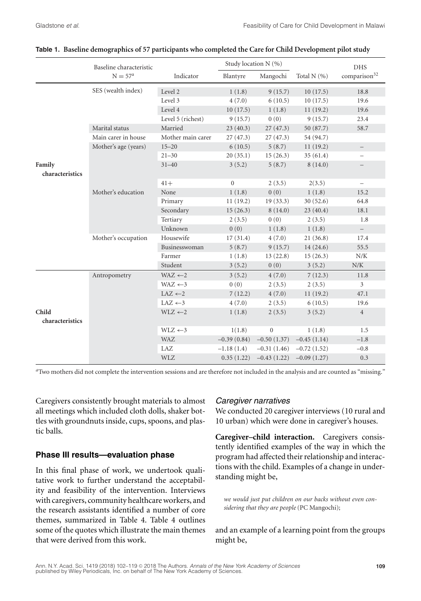|                           | Baseline characteristic |                    |                  | Study location N (%) |                 | <b>DHS</b>               |  |
|---------------------------|-------------------------|--------------------|------------------|----------------------|-----------------|--------------------------|--|
|                           | $N = 57^a$              | Indicator          | Blantyre         | Mangochi             | Total N $(\% )$ | comparison <sup>32</sup> |  |
|                           | SES (wealth index)      | Level 2            | 1(1.8)           | 9(15.7)              | 10(17.5)        | 18.8                     |  |
|                           |                         | Level 3            | 4(7.0)           | 6(10.5)              | 10(17.5)        | 19.6                     |  |
|                           |                         | Level 4            | 10(17.5)         | 1(1.8)               | 11(19.2)        | 19.6                     |  |
|                           |                         | Level 5 (richest)  | 9(15.7)          | 0(0)                 | 9(15.7)         | 23.4                     |  |
|                           | Marital status          | Married            | 23(40.3)         | 27(47.3)             | 50(87.7)        | 58.7                     |  |
|                           | Main carer in house     | Mother main carer  | 27(47.3)         | 27(47.3)             | 54 (94.7)       |                          |  |
|                           | Mother's age (years)    | $15 - 20$          | 6(10.5)          | 5(8.7)               | 11(19.2)        | $\overline{\phantom{m}}$ |  |
|                           |                         | $21 - 30$          | 20(35.1)         | 15(26.3)             | 35(61.4)        | $\overline{\phantom{0}}$ |  |
| Family<br>characteristics |                         | $31 - 40$          | 3(5.2)           | 5(8.7)               | 8(14.0)         |                          |  |
|                           |                         | $41+$              | $\boldsymbol{0}$ | 2(3.5)               | 2(3.5)          | $\overline{\phantom{0}}$ |  |
|                           | Mother's education      | None               | 1(1.8)           | 0(0)                 | 1(1.8)          | 15.2                     |  |
|                           |                         | Primary            | 11(19.2)         | 19(33.3)             | 30(52.6)        | 64.8                     |  |
|                           |                         | Secondary          | 15(26.3)         | 8(14.0)              | 23(40.4)        | 18.1                     |  |
|                           |                         | Tertiary           | 2(3.5)           | 0(0)                 | 2(3.5)          | 1.8                      |  |
|                           |                         | Unknown            | 0(0)             | 1(1.8)               | 1(1.8)          | $\equiv$                 |  |
|                           | Mother's occupation     | Housewife          | 17(31.4)         | 4(7.0)               | 21(36.8)        | 17.4                     |  |
|                           |                         | Businesswoman      | 5(8.7)           | 9(15.7)              | 14(24.6)        | 55.5                     |  |
|                           |                         | Farmer             | 1(1.8)           | 13(22.8)             | 15(26.3)        | N/K                      |  |
|                           |                         | Student            | 3(5.2)           | 0(0)                 | 3(5.2)          | N/K                      |  |
|                           | Antropometry            | $WAZ \leftarrow 2$ | 3(5.2)           | 4(7.0)               | 7(12.3)         | 11.8                     |  |
|                           |                         | $WAZ \leftarrow 3$ | 0(0)             | 2(3.5)               | 2(3.5)          | 3                        |  |
|                           |                         | $LAZ \leftarrow 2$ | 7(12.2)          | 4(7.0)               | 11(19.2)        | 47.1                     |  |
|                           |                         | $LAZ \leftarrow 3$ | 4(7.0)           | 2(3.5)               | 6(10.5)         | 19.6                     |  |
| Child<br>characteristics  |                         | $WLZ \leftarrow 2$ | 1(1.8)           | 2(3.5)               | 3(5.2)          | $\overline{4}$           |  |
|                           |                         | $WLZ \leftarrow 3$ | 1(1.8)           | $\mathbf{0}$         | 1(1.8)          | 1.5                      |  |
|                           |                         | <b>WAZ</b>         | $-0.39(0.84)$    | $-0.50(1.37)$        | $-0.45(1.14)$   | $-1.8$                   |  |
|                           |                         | LAZ                | $-1.18(1.4)$     | $-0.31(1.46)$        | $-0.72(1.52)$   | $-0.8$                   |  |
|                           |                         | <b>WLZ</b>         | 0.35(1.22)       | $-0.43(1.22)$        | $-0.09(1.27)$   | 0.3                      |  |

#### **Table 1. Baseline demographics of 57 participants who completed the Care for Child Development pilot study**

*<sup>a</sup>*Two mothers did not complete the intervention sessions and are therefore not included in the analysis and are counted as "missing."

Caregivers consistently brought materials to almost all meetings which included cloth dolls, shaker bottles with groundnuts inside, cups, spoons, and plastic balls.

#### **Phase III results—evaluation phase**

In this final phase of work, we undertook qualitative work to further understand the acceptability and feasibility of the intervention. Interviews with caregivers, community healthcare workers, and the research assistants identified a number of core themes, summarized in Table 4. Table 4 outlines some of the quotes which illustrate the main themes that were derived from this work.

#### *Caregiver narratives*

We conducted 20 caregiver interviews (10 rural and 10 urban) which were done in caregiver's houses.

**Caregiver–child interaction.** Caregivers consistently identified examples of the way in which the program had affected their relationship and interactions with the child. Examples of a change in understanding might be,

*we would just put children on our backs without even considering that they are people* (PC Mangochi);

and an example of a learning point from the groups might be,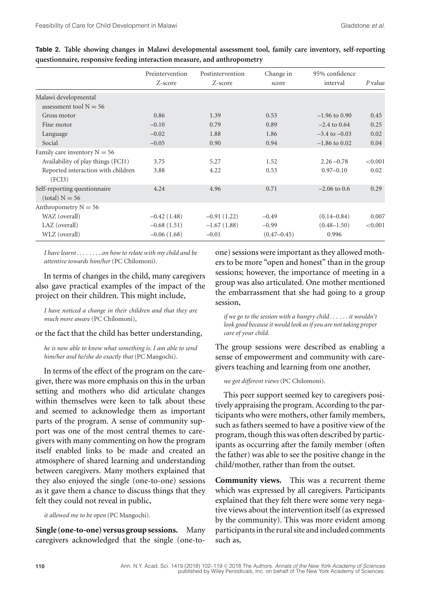|                                    | Preintervention<br>Z-score | Postintervention<br>Z-score | Change in<br>score | 95% confidence<br>interval | P value |
|------------------------------------|----------------------------|-----------------------------|--------------------|----------------------------|---------|
|                                    |                            |                             |                    |                            |         |
| Malawi developmental               |                            |                             |                    |                            |         |
| assessment tool $N = 56$           |                            |                             |                    |                            |         |
| Gross motor                        | 0.86                       | 1.39                        | 0.53               | $-1.96$ to 0.90            | 0.45    |
| Fine motor                         | $-0.10$                    | 0.79                        | 0.89               | $-2.4$ to 0.64             | 0.25    |
| Language                           | $-0.02$                    | 1.88                        | 1.86               | $-3.4$ to $-0.03$          | 0.02    |
| Social                             | $-0.05$                    | 0.90                        | 0.94               | $-1.86$ to 0.02            | 0.04    |
| Family care inventory $N = 56$     |                            |                             |                    |                            |         |
| Availability of play things (FCI1) | 3.75                       | 5.27                        | 1.52               | $2.26 - 0.78$              | < 0.001 |
| Reported interaction with children | 3.88                       | 4.22                        | 0.53               | $0.97 - 0.10$              | 0.02    |
| (FCI3)                             |                            |                             |                    |                            |         |
| Self-reporting questionnaire       | 4.24                       | 4.96                        | 0.71               | $-2.06$ to 0.6             | 0.29    |
| $(total) N = 56$                   |                            |                             |                    |                            |         |
| Anthropometry $N = 56$             |                            |                             |                    |                            |         |
| WAZ (overall)                      | $-0.42(1.48)$              | $-0.91(1.22)$               | $-0.49$            | $(0.14 - 0.84)$            | 0.007   |
| LAZ (overall)                      | $-0.68(1.51)$              | $-1.67(1.88)$               | $-0.99$            | $(0.48 - 1.50)$            | < 0.001 |
| WLZ (overall)                      | $-0.06(1.68)$              | $-0.01$                     | $(0.47 - 0.45)$    | 0.996                      |         |

**Table 2. Table showing changes in Malawi developmental assessment tool, family care inventory, self-reporting questionnaire, responsive feeding interaction measure, and anthropometry**

*I have learnt . . . . . . . ..on how to relate with my child and be attentive towards him/her* (PC Chilomoni).

In terms of changes in the child, many caregivers also gave practical examples of the impact of the project on their children. This might include,

*I have noticed a change in their children and that they are much more aware* (PC Chilomoni),

or the fact that the child has better understanding,

*he is now able to know what something is. I am able to send him/her and he/she do exactly that* (PC Mangochi).

In terms of the effect of the program on the caregiver, there was more emphasis on this in the urban setting and mothers who did articulate changes within themselves were keen to talk about these and seemed to acknowledge them as important parts of the program. A sense of community support was one of the most central themes to caregivers with many commenting on how the program itself enabled links to be made and created an atmosphere of shared learning and understanding between caregivers. Many mothers explained that they also enjoyed the single (one-to-one) sessions as it gave them a chance to discuss things that they felt they could not reveal in public,

*it allowed me to be open* (PC Mangochi).

**Single (one-to-one) versus group sessions.** Many caregivers acknowledged that the single (one-toone) sessions were important as they allowed mothers to be more "open and honest" than in the group sessions; however, the importance of meeting in a group was also articulated. One mother mentioned the embarrassment that she had going to a group session,

*if we go to the session with a hungry child . . . . . . it wouldn't look good because it would look as if you are not taking proper care of your child.*

The group sessions were described as enabling a sense of empowerment and community with caregivers teaching and learning from one another,

*we got different views* (PC Chilomoni).

This peer support seemed key to caregivers positively appraising the program. According to the participants who were mothers, other family members, such as fathers seemed to have a positive view of the program, though this was often described by participants as occurring after the family member (often the father) was able to see the positive change in the child/mother, rather than from the outset.

**Community views.** This was a recurrent theme which was expressed by all caregivers. Participants explained that they felt there were some very negative views about the intervention itself (as expressed by the community). This was more evident among participants in the rural site and included comments such as,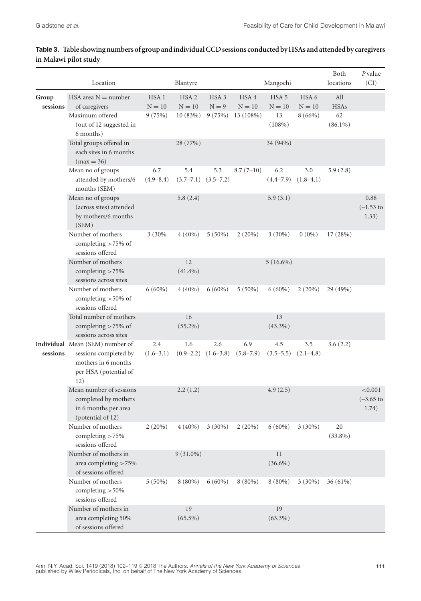### **Table 3. Table showing numbers of group andindividualCCD sessions conducted byHSAs and attended by caregivers in Malawi pilot study**

|                   | Location                                                                                                        |                              | Blantyre                     |                             |                      | Mangochi                     |                      | Both<br>locations  | P value<br>(CI)                  |
|-------------------|-----------------------------------------------------------------------------------------------------------------|------------------------------|------------------------------|-----------------------------|----------------------|------------------------------|----------------------|--------------------|----------------------------------|
| Group<br>sessions | HSA area $N =$ number<br>of caregivers                                                                          | HSA <sub>1</sub><br>$N = 10$ | HSA <sub>2</sub><br>$N = 10$ | HSA <sub>3</sub><br>$N = 9$ | HSA 4<br>$N = 10$    | HSA <sub>5</sub><br>$N = 10$ | HSA 6<br>$N = 10$    | All<br><b>HSAs</b> |                                  |
|                   | Maximum offered<br>(out of 12 suggested in<br>6 months)                                                         | 9(75%)                       | 10(83%)                      | 9(75%)                      | 13 (108%)            | 13<br>$(108\%)$              | $8(66\%)$            | 62<br>$(86.1\%)$   |                                  |
|                   | Total groups offered in<br>each sites in 6 months<br>$(max = 36)$                                               |                              | 28 (77%)                     |                             |                      | 34 (94%)                     |                      |                    |                                  |
|                   | Mean no of groups<br>attended by mothers/6<br>months (SEM)                                                      | 6.7<br>$(4.9 - 8.4)$         | 5.4<br>$(3.7 - 7.1)$         | 5.3<br>$(3.5 - 7.2)$        | $8.7(7-10)$          | 6.2<br>$(4.4 - 7.9)$         | 3.0<br>$(1.8-4.1)$   | 5.9(2.8)           |                                  |
|                   | Mean no of groups<br>(across sites) attended<br>by mothers/6 months<br>(SEM)                                    |                              | 5.8(2.4)                     |                             |                      | 5.9(3.1)                     |                      |                    | 0.88<br>$(-1.53)$ to<br>1.33)    |
|                   | Number of mothers<br>completing $>75\%$ of<br>sessions offered                                                  | 3 (30%)                      | $4(40\%)$                    | $5(50\%)$                   | 2(20%)               | $3(30\%)$                    | $0(0\%)$             | 17(28%)            |                                  |
|                   | Number of mothers<br>completing >75%<br>sessions across sites                                                   |                              | 12<br>$(41.4\%)$             |                             |                      | $5(16.6\%)$                  |                      |                    |                                  |
|                   | Number of mothers<br>completing $>50\%$ of<br>sessions offered                                                  | $6(60\%)$                    | $4(40\%)$                    | $6(60\%)$                   | $5(50\%)$            | $6(60\%)$                    | 2(20%)               | 29 (49%)           |                                  |
|                   | Total number of mothers<br>completing $>75%$ of<br>sessions across sites                                        |                              | 16<br>$(55.2\%)$             |                             |                      | 13<br>$(43.3\%)$             |                      |                    |                                  |
| sessions          | Individual Mean (SEM) number of<br>sessions completed by<br>mothers in 6 months<br>per HSA (potential of<br>12) | 2.4<br>$(1.6 - 3.1)$         | 1.6<br>$(0.9 - 2.2)$         | 2.6<br>$(1.6 - 3.8)$        | 6.9<br>$(5.8 - 7.9)$ | 4.5<br>$(3.5 - 5.5)$         | 3.5<br>$(2.1 - 4.8)$ | 3.6(2.2)           |                                  |
|                   | Mean number of sessions<br>completed by mothers<br>in 6 months per area<br>(potential of 12)                    |                              | 2.2(1.2)                     |                             |                      | 4.9(2.5)                     |                      |                    | < 0.001<br>$(-3.65)$ to<br>1.74) |
|                   | Number of mothers<br>completing $>75%$<br>sessions offered                                                      | 2(20%)                       | $4(40\%)$                    | $3(30\%)$                   | 2(20%)               | $6(60\%)$                    | $3(30\%)$            | 20<br>$(33.8\%)$   |                                  |
|                   | Number of mothers in<br>area completing $>75\%$<br>of sessions offered                                          |                              | $9(31.0\%)$                  |                             |                      | 11<br>$(36.6\%)$             |                      |                    |                                  |
|                   | Number of mothers<br>completing $>50\%$<br>sessions offered                                                     | $5(50\%)$                    | $8(80\%)$                    | $6(60\%)$                   | $8(80\%)$            | $8(80\%)$                    | 3 (30%)              | 36 (61%)           |                                  |
|                   | Number of mothers in<br>area completing 50%<br>of sessions offered                                              |                              | 19<br>$(65.5\%)$             |                             |                      | 19<br>$(63.3\%)$             |                      |                    |                                  |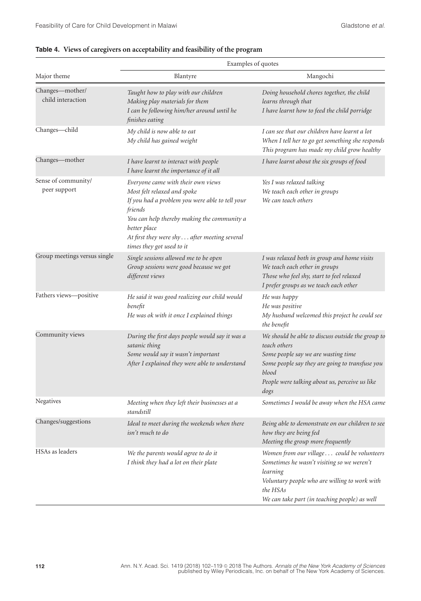#### Examples of quotes Major theme Blantyre Mangochi Changes—mother/ child interaction *Taught how to play with our children Making play materials for them I can be following him/her around until he finishes eating Doing household chores together, the child learns through that I have learnt how to feed the child porridge* Changes—child *My child is now able to eat My child has gained weight I can see that our children have learnt a lot When I tell her to go get something she responds This program has made my child grow healthy* Changes—mother *I have learnt to interact with people I have learnt the importance of it all I have learnt about the six groups of food* Sense of community/ peer support *Everyone came with their own views Most felt relaxed and spoke If you had a problem you were able to tell your friends You can help thereby making the community a better place At first they were shy . . . after meeting several times they got used to it Yes I was relaxed talking We teach each other in groups We can teach others* Group meetings versus single *Single sessions allowed me to be open Group sessions were good because we got different views I was relaxed both in group and home visits We teach each other in groups Those who feel shy, start to feel relaxed I prefer groups as we teach each other* Fathers views—positive *He said it was good realizing our child would benefit He was ok with it once I explained things He was happy He was positive My husband welcomed this project he could see the benefit* Community views *During the first days people would say it was a satanic thing Some would say it wasn't important After I explained they were able to understand We should be able to discuss outside the group to teach others Some people say we are wasting time Some people say they are going to transfuse you blood People were talking about us, perceive us like dogs* Negatives *Meeting when they left their businesses at a standstill Sometimes I would be away when the HSA came* Changes/suggestions *Ideal to meet during the weekends when there isn't much to do Being able to demonstrate on our children to see how they are being fed Meeting the group more frequently* HSAs as leaders *We the parents would agree to do it I think they had a lot on their plate Women from our village . . . could be volunteers Sometimes he wasn't visiting so we weren't*

#### **Table 4. Views of caregivers on acceptability and feasibility of the program**

*learning*

*the HSAs*

*Voluntary people who are willing to work with*

*We can take part (in teaching people) as well*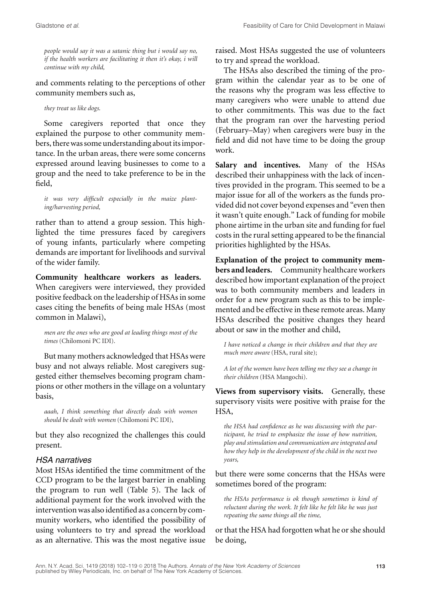*people would say it was a satanic thing but i would say no, if the health workers are facilitating it then it's okay, i will continue with my child,*

and comments relating to the perceptions of other community members such as,

*they treat us like dogs*.

Some caregivers reported that once they explained the purpose to other community members, there was some understanding about its importance. In the urban areas, there were some concerns expressed around leaving businesses to come to a group and the need to take preference to be in the field,

*it was very difficult especially in the maize planting/harvesting period,*

rather than to attend a group session. This highlighted the time pressures faced by caregivers of young infants, particularly where competing demands are important for livelihoods and survival of the wider family.

**Community healthcare workers as leaders.** When caregivers were interviewed, they provided positive feedback on the leadership of HSAs in some cases citing the benefits of being male HSAs (most common in Malawi),

*men are the ones who are good at leading things most of the times* (Chilomoni PC IDI).

But many mothers acknowledged that HSAs were busy and not always reliable. Most caregivers suggested either themselves becoming program champions or other mothers in the village on a voluntary basis,

*aaah, I think something that directly deals with women should be dealt with women* (Chilomoni PC IDI),

but they also recognized the challenges this could present.

### *HSA narratives*

Most HSAs identified the time commitment of the CCD program to be the largest barrier in enabling the program to run well (Table 5). The lack of additional payment for the work involved with the intervention was also identified as a concern by community workers, who identified the possibility of using volunteers to try and spread the workload as an alternative. This was the most negative issue

raised. Most HSAs suggested the use of volunteers to try and spread the workload.

The HSAs also described the timing of the program within the calendar year as to be one of the reasons why the program was less effective to many caregivers who were unable to attend due to other commitments. This was due to the fact that the program ran over the harvesting period (February–May) when caregivers were busy in the field and did not have time to be doing the group work.

**Salary and incentives.** Many of the HSAs described their unhappiness with the lack of incentives provided in the program. This seemed to be a major issue for all of the workers as the funds provided did not cover beyond expenses and "even then it wasn't quite enough." Lack of funding for mobile phone airtime in the urban site and funding for fuel costs in the rural setting appeared to be the financial priorities highlighted by the HSAs.

**Explanation of the project to community mem**bers and leaders. Community healthcare workers described how important explanation of the project was to both community members and leaders in order for a new program such as this to be implemented and be effective in these remote areas. Many HSAs described the positive changes they heard about or saw in the mother and child,

*I have noticed a change in their children and that they are much more aware* (HSA, rural site);

*A lot of the women have been telling me they see a change in their children* (HSA Mangochi).

### **Views from supervisory visits.** Generally, these supervisory visits were positive with praise for the HSA,

*the HSA had confidence as he was discussing with the participant, he tried to emphasize the issue of how nutrition, play and stimulation and communication are integrated and how they help in the development of the child in the next two years,*

### but there were some concerns that the HSAs were sometimes bored of the program:

*the HSAs performance is ok though sometimes is kind of reluctant during the work. It felt like he felt like he was just repeating the same things all the time,*

or that the HSA had forgotten what he or she should be doing,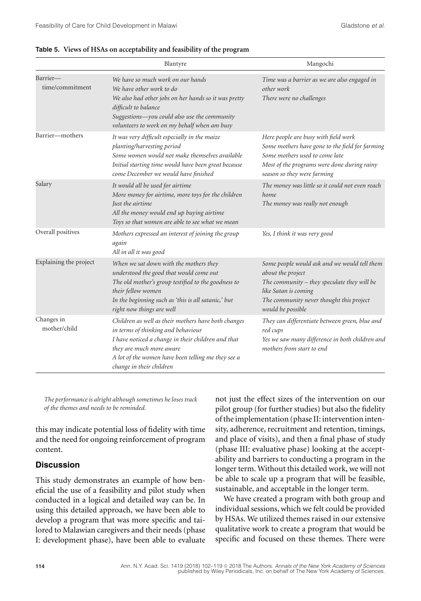|                             | Blantyre                                                                                                                                                                                                                                                      | Mangochi                                                                                                                                                                                                    |
|-----------------------------|---------------------------------------------------------------------------------------------------------------------------------------------------------------------------------------------------------------------------------------------------------------|-------------------------------------------------------------------------------------------------------------------------------------------------------------------------------------------------------------|
| Barrier-<br>time/commitment | We have so much work on our hands<br>We have other work to do<br>We also had other jobs on her hands so it was pretty<br>difficult to balance<br>Suggestions-you could also use the community<br>volunteers to work on my behalf when am busy                 | Time was a barrier as we are also engaged in<br>other work<br>There were no challenges                                                                                                                      |
| Barrier-mothers             | It was very difficult especially in the maize<br>planting/harvesting period<br>Some women would not make themselves available<br>Initial starting time would have been great because<br>come December we would have finished                                  | Here people are busy with field work<br>Some mothers have gone to the field for farming<br>Some mothers used to come late<br>Most of the programs were done during rainy<br>season so they were farming     |
| Salary                      | It would all be used for airtime<br>More money for airtime, more toys for the children<br>Just the airtime<br>All the money would end up buying airtime<br>Toys so that women are able to see what we mean                                                    | The money was little so it could not even reach<br>home<br>The money was really not enough                                                                                                                  |
| Overall positives           | Mothers expressed an interest of joining the group<br>again<br>All in all it was good                                                                                                                                                                         | Yes, I think it was very good                                                                                                                                                                               |
| Explaining the project      | When we sat down with the mothers they<br>understood the good that would come out<br>The old mother's group testified to the goodness to<br>their fellow women<br>In the beginning such as 'this is all satanic,' but<br>right now things are well            | Some people would ask and we would tell them<br>about the project<br>The community $-$ they speculate they will be<br>like Satan is coming<br>The community never thought this project<br>would be possible |
| Changes in<br>mother/child  | Children as well as their mothers have both changes<br>in terms of thinking and behaviour<br>I have noticed a change in their children and that<br>they are much more aware<br>A lot of the women have been telling me they see a<br>change in their children | They can differentiate between green, blue and<br>red cups<br>Yes we saw many difference in both children and<br>mothers from start to end                                                                  |

| Table 5. Views of HSAs on acceptability and feasibility of the program |  |
|------------------------------------------------------------------------|--|
|------------------------------------------------------------------------|--|

*The performance is alright although sometimes he loses track of the themes and needs to be reminded.*

this may indicate potential loss of fidelity with time and the need for ongoing reinforcement of program content.

### **Discussion**

This study demonstrates an example of how beneficial the use of a feasibility and pilot study when conducted in a logical and detailed way can be. In using this detailed approach, we have been able to develop a program that was more specific and tailored to Malawian caregivers and their needs (phase I: development phase), have been able to evaluate not just the effect sizes of the intervention on our pilot group (for further studies) but also the fidelity of the implementation (phase II: intervention intensity, adherence, recruitment and retention, timings, and place of visits), and then a final phase of study (phase III: evaluative phase) looking at the acceptability and barriers to conducting a program in the longer term. Without this detailed work, we will not be able to scale up a program that will be feasible, sustainable, and acceptable in the longer term.

We have created a program with both group and individual sessions, which we felt could be provided by HSAs. We utilized themes raised in our extensive qualitative work to create a program that would be specific and focused on these themes. There were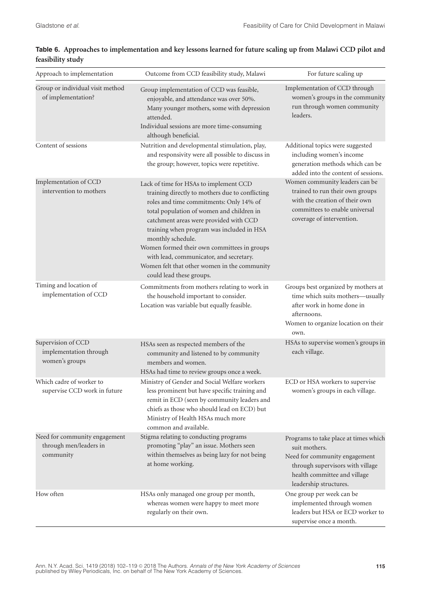| Approach to implementation                                           | Outcome from CCD feasibility study, Malawi                                                                                                                                                                                                                                                                                                                                                                                                                          | For future scaling up                                                                                                                                                                 |
|----------------------------------------------------------------------|---------------------------------------------------------------------------------------------------------------------------------------------------------------------------------------------------------------------------------------------------------------------------------------------------------------------------------------------------------------------------------------------------------------------------------------------------------------------|---------------------------------------------------------------------------------------------------------------------------------------------------------------------------------------|
| Group or individual visit method<br>of implementation?               | Group implementation of CCD was feasible,<br>enjoyable, and attendance was over 50%.<br>Many younger mothers, some with depression<br>attended.<br>Individual sessions are more time-consuming<br>although beneficial.                                                                                                                                                                                                                                              | Implementation of CCD through<br>women's groups in the community<br>run through women community<br>leaders.                                                                           |
| Content of sessions                                                  | Nutrition and developmental stimulation, play,<br>and responsivity were all possible to discuss in<br>the group; however, topics were repetitive.                                                                                                                                                                                                                                                                                                                   | Additional topics were suggested<br>including women's income<br>generation methods which can be<br>added into the content of sessions.                                                |
| Implementation of CCD<br>intervention to mothers                     | Lack of time for HSAs to implement CCD<br>training directly to mothers due to conflicting<br>roles and time commitments: Only 14% of<br>total population of women and children in<br>catchment areas were provided with CCD<br>training when program was included in HSA<br>monthly schedule.<br>Women formed their own committees in groups<br>with lead, communicator, and secretary.<br>Women felt that other women in the community<br>could lead these groups. | Women community leaders can be<br>trained to run their own groups<br>with the creation of their own<br>committees to enable universal<br>coverage of intervention.                    |
| Timing and location of<br>implementation of CCD                      | Commitments from mothers relating to work in<br>the household important to consider.<br>Location was variable but equally feasible.                                                                                                                                                                                                                                                                                                                                 | Groups best organized by mothers at<br>time which suits mothers-usually<br>after work in home done in<br>afternoons.<br>Women to organize location on their<br>own.                   |
| Supervision of CCD<br>implementation through<br>women's groups       | HSAs seen as respected members of the<br>community and listened to by community<br>members and women.<br>HSAs had time to review groups once a week.                                                                                                                                                                                                                                                                                                                | HSAs to supervise women's groups in<br>each village.                                                                                                                                  |
| Which cadre of worker to<br>supervise CCD work in future             | Ministry of Gender and Social Welfare workers<br>less prominent but have specific training and<br>remit in ECD (seen by community leaders and<br>chiefs as those who should lead on ECD) but<br>Ministry of Health HSAs much more<br>common and available.                                                                                                                                                                                                          | ECD or HSA workers to supervise<br>women's groups in each village.                                                                                                                    |
| Need for community engagement<br>through men/leaders in<br>community | Stigma relating to conducting programs<br>promoting "play" an issue. Mothers seen<br>within themselves as being lazy for not being<br>at home working.                                                                                                                                                                                                                                                                                                              | Programs to take place at times which<br>suit mothers.<br>Need for community engagement<br>through supervisors with village<br>health committee and village<br>leadership structures. |
| How often                                                            | HSAs only managed one group per month,<br>whereas women were happy to meet more<br>regularly on their own.                                                                                                                                                                                                                                                                                                                                                          | One group per week can be<br>implemented through women<br>leaders but HSA or ECD worker to<br>supervise once a month.                                                                 |

### **Table 6. Approaches to implementation and key lessons learned for future scaling up from Malawi CCD pilot and feasibility study**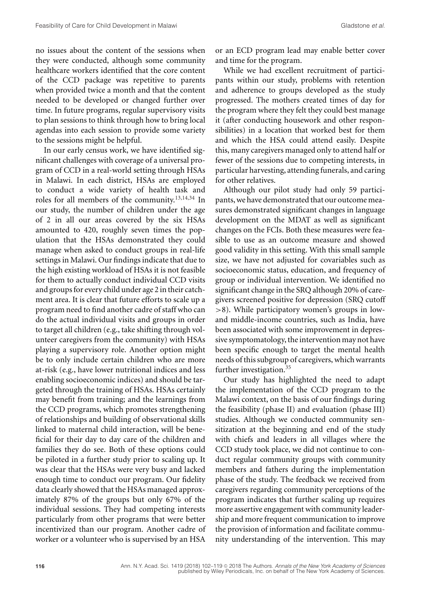no issues about the content of the sessions when they were conducted, although some community healthcare workers identified that the core content of the CCD package was repetitive to parents when provided twice a month and that the content needed to be developed or changed further over time. In future programs, regular supervisory visits to plan sessions to think through how to bring local agendas into each session to provide some variety to the sessions might be helpful.

In our early census work, we have identified significant challenges with coverage of a universal program of CCD in a real-world setting through HSAs in Malawi. In each district, HSAs are employed to conduct a wide variety of health task and roles for all members of the community.13,14,34 In our study, the number of children under the age of 2 in all our areas covered by the six HSAs amounted to 420, roughly seven times the population that the HSAs demonstrated they could manage when asked to conduct groups in real-life settings in Malawi. Our findings indicate that due to the high existing workload of HSAs it is not feasible for them to actually conduct individual CCD visits and groups for every child under age 2 in their catchment area. It is clear that future efforts to scale up a program need to find another cadre of staff who can do the actual individual visits and groups in order to target all children (e.g., take shifting through volunteer caregivers from the community) with HSAs playing a supervisory role. Another option might be to only include certain children who are more at-risk (e.g., have lower nutritional indices and less enabling socioeconomic indices) and should be targeted through the training of HSAs. HSAs certainly may benefit from training; and the learnings from the CCD programs, which promotes strengthening of relationships and building of observational skills linked to maternal child interaction, will be beneficial for their day to day care of the children and families they do see. Both of these options could be piloted in a further study prior to scaling up. It was clear that the HSAs were very busy and lacked enough time to conduct our program. Our fidelity data clearly showed that the HSAs managed approximately 87% of the groups but only 67% of the individual sessions. They had competing interests particularly from other programs that were better incentivized than our program. Another cadre of worker or a volunteer who is supervised by an HSA

or an ECD program lead may enable better cover and time for the program.

While we had excellent recruitment of participants within our study, problems with retention and adherence to groups developed as the study progressed. The mothers created times of day for the program where they felt they could best manage it (after conducting housework and other responsibilities) in a location that worked best for them and which the HSA could attend easily. Despite this, many caregivers managed only to attend half or fewer of the sessions due to competing interests, in particular harvesting, attending funerals, and caring for other relatives.

Although our pilot study had only 59 participants, we have demonstrated that our outcome measures demonstrated significant changes in language development on the MDAT as well as significant changes on the FCIs. Both these measures were feasible to use as an outcome measure and showed good validity in this setting. With this small sample size, we have not adjusted for covariables such as socioeconomic status, education, and frequency of group or individual intervention. We identified no significant change in the SRQ although 20% of caregivers screened positive for depression (SRQ cutoff *>*8). While participatory women's groups in lowand middle-income countries, such as India, have been associated with some improvement in depressive symptomatology, the intervention may not have been specific enough to target the mental health needs of this subgroup of caregivers, which warrants further investigation.<sup>35</sup>

Our study has highlighted the need to adapt the implementation of the CCD program to the Malawi context, on the basis of our findings during the feasibility (phase II) and evaluation (phase III) studies. Although we conducted community sensitization at the beginning and end of the study with chiefs and leaders in all villages where the CCD study took place, we did not continue to conduct regular community groups with community members and fathers during the implementation phase of the study. The feedback we received from caregivers regarding community perceptions of the program indicates that further scaling up requires more assertive engagement with community leadership and more frequent communication to improve the provision of information and facilitate community understanding of the intervention. This may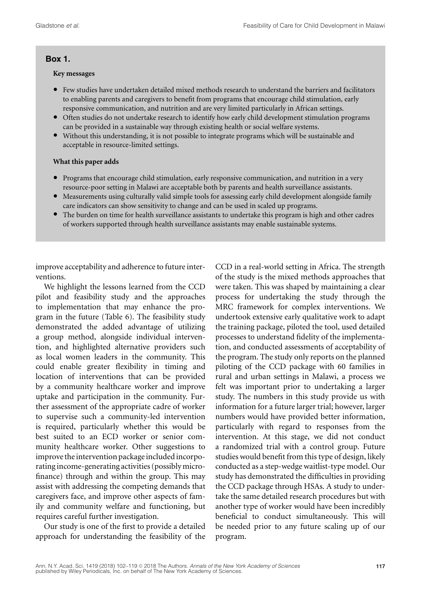### **Box 1.**

#### **Key messages**

- Few studies have undertaken detailed mixed methods research to understand the barriers and facilitators to enabling parents and caregivers to benefit from programs that encourage child stimulation, early
- responsive communication, and nutrition and are very limited particularly in African settings.<br>• Often studies do not undertake research to identify how early child development stimulation programs
- can be provided in a sustainable way through existing health or social welfare systems. Without this understanding, it is not possible to integrate programs which will be sustainable and acceptable in resource-limited settings.

### **What this paper adds**

- Programs that encourage child stimulation, early responsive communication, and nutrition in a very
- resource-poor setting in Malawi are acceptable both by parents and health surveillance assistants. Measurements using culturally valid simple tools for assessing early child development alongside family
- care indicators can show sensitivity to change and can be used in scaled up programs. The burden on time for health surveillance assistants to undertake this program is high and other cadres of workers supported through health surveillance assistants may enable sustainable systems.

improve acceptability and adherence to future interventions.

We highlight the lessons learned from the CCD pilot and feasibility study and the approaches to implementation that may enhance the program in the future (Table 6). The feasibility study demonstrated the added advantage of utilizing a group method, alongside individual intervention, and highlighted alternative providers such as local women leaders in the community. This could enable greater flexibility in timing and location of interventions that can be provided by a community healthcare worker and improve uptake and participation in the community. Further assessment of the appropriate cadre of worker to supervise such a community-led intervention is required, particularly whether this would be best suited to an ECD worker or senior community healthcare worker. Other suggestions to improve the intervention package included incorporating income-generating activities (possibly microfinance) through and within the group. This may assist with addressing the competing demands that caregivers face, and improve other aspects of family and community welfare and functioning, but requires careful further investigation.

Our study is one of the first to provide a detailed approach for understanding the feasibility of the CCD in a real-world setting in Africa. The strength of the study is the mixed methods approaches that were taken. This was shaped by maintaining a clear process for undertaking the study through the MRC framework for complex interventions. We undertook extensive early qualitative work to adapt the training package, piloted the tool, used detailed processes to understand fidelity of the implementation, and conducted assessments of acceptability of the program. The study only reports on the planned piloting of the CCD package with 60 families in rural and urban settings in Malawi, a process we felt was important prior to undertaking a larger study. The numbers in this study provide us with information for a future larger trial; however, larger numbers would have provided better information, particularly with regard to responses from the intervention. At this stage, we did not conduct a randomized trial with a control group. Future studies would benefit from this type of design, likely conducted as a step-wedge waitlist-type model. Our study has demonstrated the difficulties in providing the CCD package through HSAs. A study to undertake the same detailed research procedures but with another type of worker would have been incredibly beneficial to conduct simultaneously. This will be needed prior to any future scaling up of our program.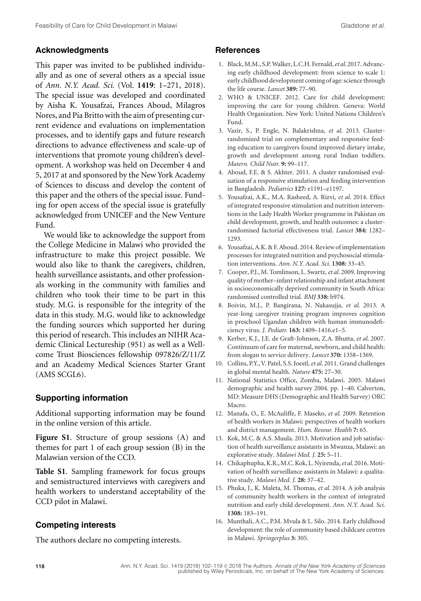### **Acknowledgments**

This paper was invited to be published individually and as one of several others as a special issue of *Ann. N.Y. Acad. Sci.* (Vol. **1419**: 1–271, 2018). The special issue was developed and coordinated by Aisha K. Yousafzai, Frances Aboud, Milagros Nores, and Pia Britto with the aim of presenting current evidence and evaluations on implementation processes, and to identify gaps and future research directions to advance effectiveness and scale-up of interventions that promote young children's development. A workshop was held on December 4 and 5, 2017 at and sponsored by the New York Academy of Sciences to discuss and develop the content of this paper and the others of the special issue. Funding for open access of the special issue is gratefully acknowledged from UNICEF and the New Venture Fund.

We would like to acknowledge the support from the College Medicine in Malawi who provided the infrastructure to make this project possible. We would also like to thank the caregivers, children, health surveillance assistants, and other professionals working in the community with families and children who took their time to be part in this study. M.G. is responsible for the integrity of the data in this study. M.G. would like to acknowledge the funding sources which supported her during this period of research. This includes an NIHR Academic Clinical Lectureship (951) as well as a Wellcome Trust Biosciences fellowship 097826/Z/11/Z and an Academy Medical Sciences Starter Grant (AMS SCGL6).

### **Supporting information**

Additional supporting information may be found in the online version of this article.

**Figure S1**. Structure of group sessions (A) and themes for part 1 of each group session (B) in the Malawian version of the CCD.

**Table S1**. Sampling framework for focus groups and semistructured interviews with caregivers and health workers to understand acceptability of the CCD pilot in Malawi.

### **Competing interests**

The authors declare no competing interests.

- 1. Black,M.M., S.P.Walker, L.C.H. Fernald,*et al*. 2017. Advancing early childhood development: from science to scale 1: early childhood development coming of age: science through the life course. *Lancet* **389:** 77–90.
- 2. WHO & UNICEF. 2012. Care for child development: improving the care for young children. Geneva: World Health Organization. New York: United Nations Children's Fund.
- 3. Vazir, S., P. Engle, N. Balakrishna, *et al*. 2013. Clusterrandomized trial on complementary and responsive feeding education to caregivers found improved dietary intake, growth and development among rural Indian toddlers. *Matern. Child Nutr.* **9:** 99–117.
- 4. Aboud, F.E. & S. Akhter. 2011. A cluster randomised evaluation of a responsive stimulation and feeding intervention in Bangladesh. *Pediatrics* **127:** e1191–e1197.
- 5. Yousafzai, A.K., M.A. Rasheed, A. Rizvi, *et al*. 2014. Effect of integrated responsive stimulation and nutrition interventions in the Lady Health Worker programme in Pakistan on child development, growth, and health outcomes: a clusterrandomised factorial effectiveness trial. *Lancet* **384:** 1282– 1293.
- 6. Yousafzai, A.K. & F. Aboud. 2014. Review of implementation processes for integrated nutrition and psychosocial stimulation interventions. *Ann. N.Y. Acad. Sci.* **1308:** 33–45.
- 7. Cooper, P.J., M. Tomlinson, L. Swartz,*et al*. 2009. Improving quality of mother–infant relationship and infant attachment in socioeconomically deprived community in South Africa: randomised controlled trial. *BMJ* **338:** b974.
- 8. Boivin, M.J., P. Bangirana, N. Nakasujja, *et al*. 2013. A year-long caregiver training program improves cognition in preschool Ugandan children with human immunodeficiency virus. *J. Pediatr.* **163:** 1409–1416.e1–5.
- 9. Kerber, K.J., J.E. de Graft-Johnson, Z.A. Bhutta, *et al*. 2007. Continuum of care for maternal, newborn, and child health: from slogan to service delivery. *Lancet* **370:** 1358–1369.
- 10. Collins, P.Y., V. Patel, S.S. Joestl,*et al*. 2011. Grand challenges in global mental health. *Nature* **475:** 27–30.
- 11. National Statistics Office, Zomba, Malawi. 2005. Malawi demographic and health survey 2004. pp. 1–40. Calverton, MD: Measure DHS (Demographic and Health Survey) ORC Macro.
- 12. Manafa, O., E. McAuliffe, F. Maseko, *et al*. 2009. Retention of health workers in Malawi: perspectives of health workers and district management. *Hum. Resour. Health* **7:** 65.
- 13. Kok, M.C. & A.S. Muula. 2013. Motivation and job satisfaction of health surveillance assistants in Mwanza, Malawi: an explorative study. *Malawi Med. J.* **25:** 5–11.
- 14. Chikaphupha, K.R.,M.C. Kok, L. Nyirenda,*et al*. 2016.Motivation of health surveillance assistants in Malawi: a qualitative study. *Malawi Med. J.* **28:** 37–42.
- 15. Phuka, J., K. Maleta, M. Thomas, *et al*. 2014. A job analysis of community health workers in the context of integrated nutrition and early child development. *Ann. N.Y. Acad. Sci.* **1308:** 183–191.
- 16. Munthali, A.C., P.M. Mvula & L. Silo. 2014. Early childhood development: the role of community based childcare centres in Malawi. *Springerplus* **3:** 305.